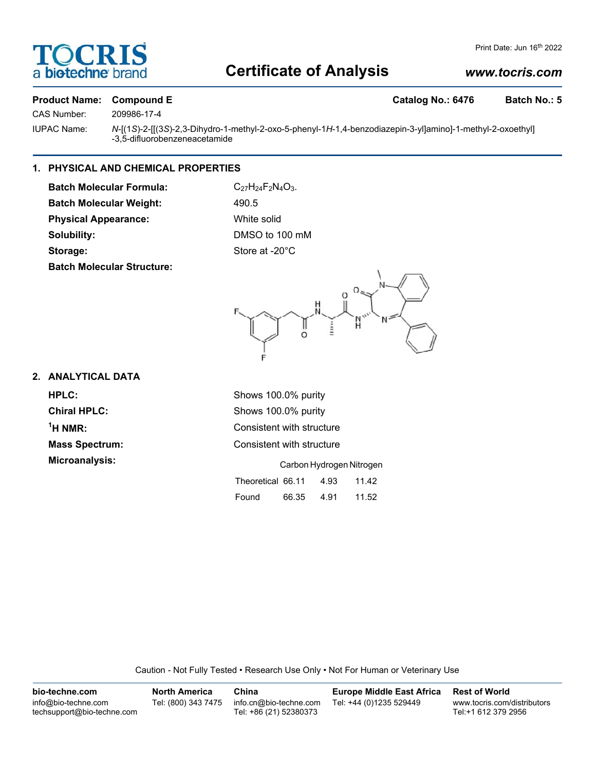## OCRI biotechne b

#### Print Date: Jun 16<sup>th</sup> 2022

## **Certificate of Analysis**

#### *www.tocris.com*

# CAS Number: 209986-17-4

#### **Product Name: Compound E Catalog No.: 6476 Batch No.: 5**

IUPAC Name: *N*-[(1*S*)-2-[[(3*S*)-2,3-Dihydro-1-methyl-2-oxo-5-phenyl-1*H*-1,4-benzodiazepin-3-yl]amino]-1-methyl-2-oxoethyl] -3,5-difluorobenzeneacetamide

#### **1. PHYSICAL AND CHEMICAL PROPERTIES**

**Batch Molecular Formula:** C<sub>27</sub>H<sub>24</sub>F<sub>2</sub>N<sub>4</sub>O<sub>3</sub>. **Batch Molecular Weight:** 490.5 **Physical Appearance:** White solid **Solubility:** DMSO to 100 mM Storage: Store at -20°C **Batch Molecular Structure:**



#### **2. ANALYTICAL DATA**

 $<sup>1</sup>H NMR$ :</sup> **Microanalysis:** 

**HPLC:** Shows 100.0% purity **Chiral HPLC:** Shows 100.0% purity **Consistent with structure Mass Spectrum:** Consistent with structure

|                   | Carbon Hydrogen Nitrogen |      |       |  |  |
|-------------------|--------------------------|------|-------|--|--|
| Theoretical 66.11 |                          | 4.93 | 11.42 |  |  |
| Found             | 66.35                    | 4.91 | 11.52 |  |  |

Caution - Not Fully Tested • Research Use Only • Not For Human or Veterinary Use

| bio-techne.com                                    | North America       | China                                            | Europe Middle East Africa | <b>Rest of World</b>                               |
|---------------------------------------------------|---------------------|--------------------------------------------------|---------------------------|----------------------------------------------------|
| info@bio-techne.com<br>techsupport@bio-techne.com | Tel: (800) 343 7475 | info.cn@bio-techne.com<br>Tel: +86 (21) 52380373 | Tel: +44 (0)1235 529449   | www.tocris.com/distributors<br>Tel:+1 612 379 2956 |